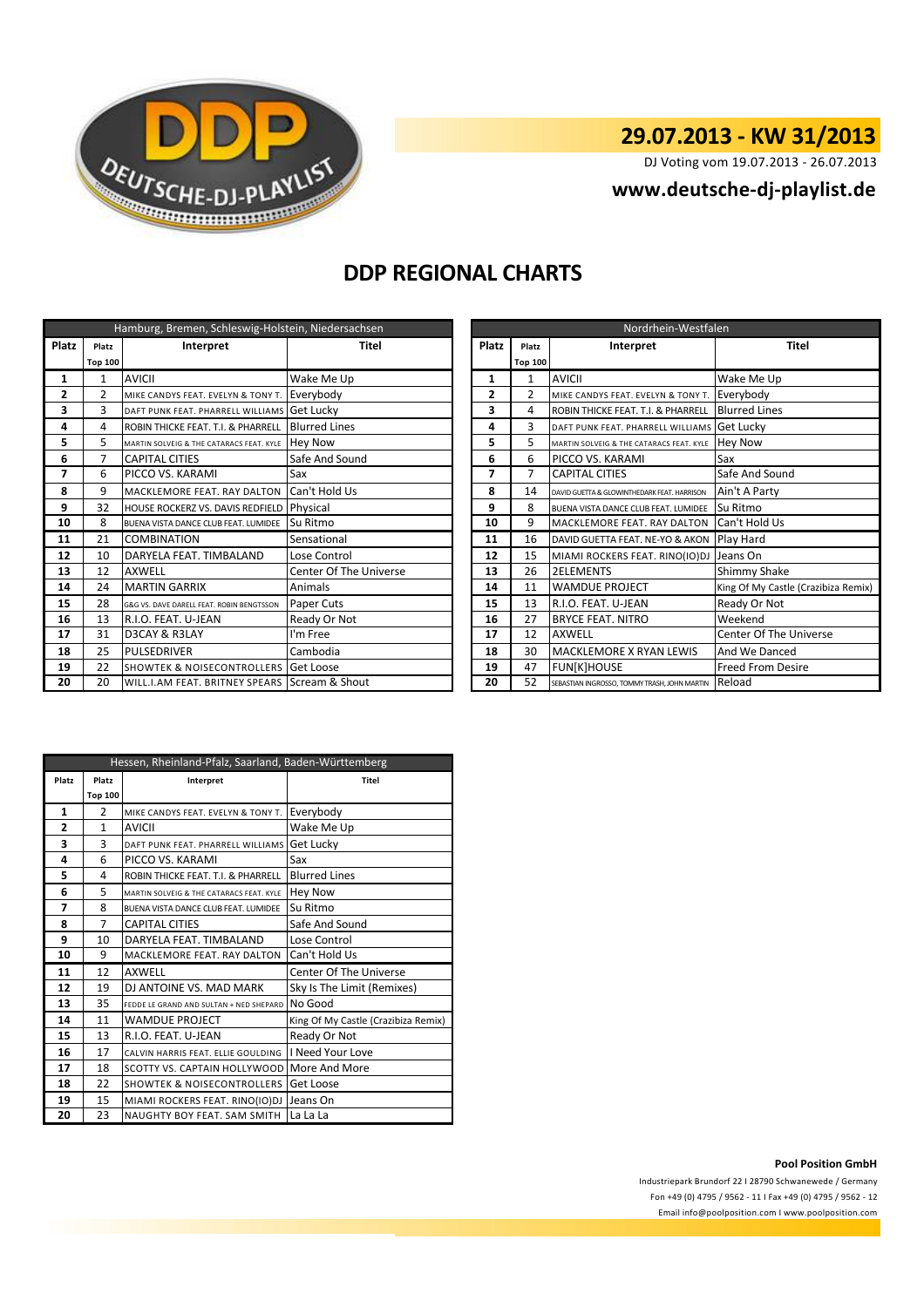

# **29.07.2013 - KW 31/2013**

DJ Voting vom 19.07.2013 - 26.07.2013

## **<www.deutsche-dj-playlist.de>**

## **DDP REGIONAL CHARTS**

| Hamburg, Bremen, Schleswig-Holstein, Niedersachsen |                |                                               |                        |                | Nordrhein-Westfalen |                                              |                               |  |  |
|----------------------------------------------------|----------------|-----------------------------------------------|------------------------|----------------|---------------------|----------------------------------------------|-------------------------------|--|--|
| Platz                                              | Platz          | Interpret                                     | <b>Titel</b>           | Platz          | Platz               | Interpret                                    | <b>Titel</b>                  |  |  |
|                                                    | <b>Top 100</b> |                                               |                        |                | <b>Top 100</b>      |                                              |                               |  |  |
| 1                                                  | 1              | <b>AVICII</b>                                 | Wake Me Up             | 1              | $\mathbf{1}$        | <b>AVICII</b>                                | Wake Me Up                    |  |  |
| 2                                                  | $\overline{2}$ | MIKE CANDYS FEAT. EVELYN & TONY T.            | Everybody              | $\overline{2}$ | $\overline{2}$      | MIKE CANDYS FEAT. EVELYN & TONY T.           | Everybody                     |  |  |
| 3                                                  | 3              | DAFT PUNK FEAT. PHARRELL WILLIAMS             | <b>Get Lucky</b>       | 3              | 4                   | ROBIN THICKE FEAT. T.I. & PHARRELL           | <b>Blurred Lines</b>          |  |  |
| 4                                                  | 4              | ROBIN THICKE FEAT. T.I. & PHARRELL            | <b>Blurred Lines</b>   | 4              | 3                   | DAFT PUNK FEAT. PHARRELL WILLIAMS Get Lucky  |                               |  |  |
| 5                                                  | 5              | MARTIN SOLVEIG & THE CATARACS FEAT. KYLE      | <b>Hey Now</b>         | 5              | 5                   | MARTIN SOLVEIG & THE CATARACS FEAT. KYLE     | <b>Hey Now</b>                |  |  |
| 6                                                  |                | <b>CAPITAL CITIES</b>                         | Safe And Sound         | 6              | 6                   | PICCO VS. KARAMI                             | Sax                           |  |  |
| 7                                                  | 6              | PICCO VS. KARAMI                              | Sax                    | 7              | $\overline{7}$      | <b>CAPITAL CITIES</b>                        | Safe And Sound                |  |  |
| 8                                                  | 9              | MACKLEMORE FEAT. RAY DALTON                   | Can't Hold Us          | 8              | 14                  | DAVID GUETTA & GLOWINTHEDARK FEAT, HARRISON  | Ain't A Party                 |  |  |
| 9                                                  | 32             | HOUSE ROCKERZ VS. DAVIS REDFIELD              | Physical               | 9              | 8                   | BUENA VISTA DANCE CLUB FEAT. LUMIDEE         | Su Ritmo                      |  |  |
| 10                                                 | 8              | BUENA VISTA DANCE CLUB FEAT. LUMIDEE          | Su Ritmo               | 10             | 9                   | MACKLEMORE FEAT. RAY DALTON                  | Can't Hold Us                 |  |  |
| 11                                                 | 21             | <b>COMBINATION</b>                            | Sensational            | 11             | 16                  | DAVID GUETTA FEAT. NE-YO & AKON              | Play Hard                     |  |  |
| 12                                                 | 10             | DARYELA FEAT. TIMBALAND                       | Lose Control           | 12             | 15                  | MIAMI ROCKERS FEAT. RINO(IO)DJ               | Jeans On                      |  |  |
| 13                                                 | 12             | <b>AXWELL</b>                                 | Center Of The Universe | 13             | 26                  | <b>2ELEMENTS</b>                             | Shimmy Shake                  |  |  |
| 14                                                 | 24             | <b>MARTIN GARRIX</b>                          | Animals                | 14             | 11                  | <b>WAMDUE PROJECT</b>                        | King Of My Castle (Crazibiz   |  |  |
| 15                                                 | 28             | G&G VS. DAVE DARELL FEAT. ROBIN BENGTSSON     | Paper Cuts             | 15             | 13                  | R.I.O. FEAT. U-JEAN                          | Ready Or Not                  |  |  |
| 16                                                 | 13             | R.I.O. FEAT. U-JEAN                           | Ready Or Not           | 16             | 27                  | <b>BRYCE FEAT, NITRO</b>                     | Weekend                       |  |  |
| 17                                                 | 31             | D3CAY & R3LAY                                 | I'm Free               | 17             | 12                  | <b>AXWELL</b>                                | <b>Center Of The Universe</b> |  |  |
| 18                                                 | 25             | <b>PULSEDRIVER</b>                            | Cambodia               | 18             | 30                  | MACKLEMORE X RYAN LEWIS                      | And We Danced                 |  |  |
| 19                                                 | 22             | <b>SHOWTEK &amp; NOISECONTROLLERS</b>         | Get Loose              | 19             | 47                  | <b>FUN[K]HOUSE</b>                           | <b>Freed From Desire</b>      |  |  |
| 20                                                 | 20             | WILL.I.AM FEAT. BRITNEY SPEARS Scream & Shout |                        | 20             | 52                  | SEBASTIAN INGROSSO, TOMMY TRASH, JOHN MARTIN | Reload                        |  |  |

|                | Hamburg, Bremen, Schleswig-Holstein, Niedersachsen |                                                 |                        |              | Nordrhein-Westfalen |                                              |                                     |  |  |
|----------------|----------------------------------------------------|-------------------------------------------------|------------------------|--------------|---------------------|----------------------------------------------|-------------------------------------|--|--|
| latz           | Platz                                              | Interpret                                       | Titel                  | Platz        | Platz               | Interpret                                    | <b>Titel</b>                        |  |  |
|                | <b>Top 100</b>                                     |                                                 |                        |              | <b>Top 100</b>      |                                              |                                     |  |  |
| 1              | 1                                                  | <b>AVICII</b>                                   | Wake Me Up             | 1            |                     | <b>AVICII</b>                                | Wake Me Up                          |  |  |
| $\mathbf{2}$   | $\overline{2}$                                     | MIKE CANDYS FEAT. EVELYN & TONY T.              | Everybody              | $\mathbf{2}$ | 2                   | MIKE CANDYS FEAT. EVELYN & TONY T.           | Everybody                           |  |  |
| 3              | 3                                                  | DAFT PUNK FEAT. PHARRELL WILLIAMS               | <b>Get Lucky</b>       | 3            |                     | ROBIN THICKE FEAT. T.I. & PHARRELL           | <b>Blurred Lines</b>                |  |  |
| 4              | 4                                                  | ROBIN THICKE FEAT. T.I. & PHARRELL              | <b>Blurred Lines</b>   | 4            |                     | DAFT PUNK FEAT. PHARRELL WILLIAMS Get Lucky  |                                     |  |  |
| 5              | 5.                                                 | MARTIN SOLVEIG & THE CATARACS FEAT. KYLE        | <b>Hey Now</b>         | 5            | 5.                  | MARTIN SOLVEIG & THE CATARACS FEAT. KYLE     | <b>Hev Now</b>                      |  |  |
| 6              | $\overline{7}$                                     | <b>CAPITAL CITIES</b>                           | Safe And Sound         | 6            | 6                   | PICCO VS. KARAMI                             | Sax                                 |  |  |
| $\overline{7}$ | 6                                                  | PICCO VS. KARAMI                                | Sax                    | 7            |                     | <b>CAPITAL CITIES</b>                        | Safe And Sound                      |  |  |
| 8              | 9                                                  | MACKLEMORE FEAT. RAY DALTON                     | Can't Hold Us          | 8            | 14                  | DAVID GUETTA & GLOWINTHEDARK FEAT, HARRISON  | Ain't A Party                       |  |  |
| 9              | 32                                                 | HOUSE ROCKERZ VS. DAVIS REDFIELD                | Physical               | 9            | 8                   | BUENA VISTA DANCE CLUB FEAT. LUMIDEE         | Su Ritmo                            |  |  |
| 10             | 8                                                  | BUENA VISTA DANCE CLUB FEAT. LUMIDEE            | Su Ritmo               | 10           | 9                   | MACKLEMORE FEAT. RAY DALTON Can't Hold Us    |                                     |  |  |
| 11             | 21                                                 | <b>COMBINATION</b>                              | Sensational            | 11           | 16                  | DAVID GUETTA FEAT. NE-YO & AKON              | <b>Play Hard</b>                    |  |  |
| 12             | 10                                                 | DARYELA FEAT. TIMBALAND                         | Lose Control           | 12           | 15                  | MIAMI ROCKERS FEAT. RINO(IO)DJ Jeans On      |                                     |  |  |
| 13             | 12                                                 | <b>AXWELL</b>                                   | Center Of The Universe | 13           | 26                  | <b>2ELEMENTS</b>                             | Shimmy Shake                        |  |  |
| 14             | 24                                                 | <b>MARTIN GARRIX</b>                            | Animals                | 14           | 11                  | <b>WAMDUE PROJECT</b>                        | King Of My Castle (Crazibiza Remix) |  |  |
| 15             | 28                                                 | G&G VS. DAVE DARELL FEAT. ROBIN BENGTSSON       | Paper Cuts             | 15           | 13                  | R.I.O. FEAT. U-JEAN                          | Ready Or Not                        |  |  |
| 16             | 13                                                 | R.I.O. FEAT. U-JEAN                             | Ready Or Not           | 16           | 27                  | <b>BRYCE FEAT. NITRO</b>                     | Weekend                             |  |  |
| 17             | 31                                                 | D3CAY & R3LAY                                   | I'm Free               | 17           | 12                  | <b>AXWELL</b>                                | Center Of The Universe              |  |  |
| 18             | 25                                                 | PULSEDRIVER                                     | Cambodia               | 18           | 30                  | MACKLEMORE X RYAN LEWIS                      | And We Danced                       |  |  |
| 19             | 22                                                 | <b>SHOWTEK &amp; NOISECONTROLLERS Get Loose</b> |                        | 19           | 47                  | <b>FUN[K]HOUSE</b>                           | <b>Freed From Desire</b>            |  |  |
| 20             | 20                                                 | WILL.I.AM FEAT. BRITNEY SPEARS Scream & Shout   |                        | 20           | 52                  | SEBASTIAN INGROSSO, TOMMY TRASH, JOHN MARTIN | Reload                              |  |  |

| Hessen, Rheinland-Pfalz, Saarland, Baden-Württemberg |                    |                                          |                                     |  |  |  |  |
|------------------------------------------------------|--------------------|------------------------------------------|-------------------------------------|--|--|--|--|
| Platz                                                | Platz<br>Interpret |                                          | <b>Titel</b>                        |  |  |  |  |
|                                                      | <b>Top 100</b>     |                                          |                                     |  |  |  |  |
| $\mathbf{1}$                                         | $\overline{2}$     | MIKE CANDYS FEAT. EVELYN & TONY T.       | Everybody                           |  |  |  |  |
| 2                                                    | $\mathbf{1}$       | AVICII                                   | Wake Me Up                          |  |  |  |  |
| 3                                                    | 3                  | DAFT PUNK FEAT. PHARRELL WILLIAMS        | Get Lucky                           |  |  |  |  |
| 4                                                    | 6                  | PICCO VS. KARAMI                         | Sax                                 |  |  |  |  |
| 5                                                    | 4                  | ROBIN THICKE FEAT. T.I. & PHARRELL       | <b>Blurred Lines</b>                |  |  |  |  |
| 6                                                    | 5                  | MARTIN SOLVEIG & THE CATARACS FEAT. KYLE | <b>Hey Now</b>                      |  |  |  |  |
| 7                                                    | 8                  | BUENA VISTA DANCE CLUB FEAT. LUMIDEE     | Su Ritmo                            |  |  |  |  |
| 8                                                    | $\overline{7}$     | <b>CAPITAL CITIES</b>                    | Safe And Sound                      |  |  |  |  |
| 9                                                    | 10                 | DARYELA FEAT. TIMBALAND                  | Lose Control                        |  |  |  |  |
| 10                                                   | 9                  | MACKLEMORE FEAT. RAY DALTON              | Can't Hold Us                       |  |  |  |  |
| 11                                                   | 12                 | <b>AXWELL</b>                            | <b>Center Of The Universe</b>       |  |  |  |  |
| 12                                                   | 19                 | DJ ANTOINE VS. MAD MARK                  | Sky Is The Limit (Remixes)          |  |  |  |  |
| 13                                                   | 35                 | FEDDE LE GRAND AND SULTAN + NED SHEPARD  | No Good                             |  |  |  |  |
| 14                                                   | 11                 | <b>WAMDUE PROJECT</b>                    | King Of My Castle (Crazibiza Remix) |  |  |  |  |
| 15                                                   | 13                 | R.I.O. FEAT. U-JEAN                      | Ready Or Not                        |  |  |  |  |
| 16                                                   | 17                 | CALVIN HARRIS FEAT. ELLIE GOULDING       | I Need Your Love                    |  |  |  |  |
| 17                                                   | 18                 | SCOTTY VS. CAPTAIN HOLLYWOOD             | More And More                       |  |  |  |  |
| 18                                                   | 22                 | <b>SHOWTEK &amp; NOISECONTROLLERS</b>    | Get Loose                           |  |  |  |  |
| 19                                                   | 15                 | MIAMI ROCKERS FEAT. RINO(IO)DJ           | Jeans On                            |  |  |  |  |
| 20                                                   | 23                 | NAUGHTY BOY FEAT. SAM SMITH              | La La La                            |  |  |  |  |

### **Pool Position GmbH**

Industriepark Brundorf 22 I 28790 Schwanewede / Germany Fon +49 (0) 4795 / 9562 - 11 I Fax +49 (0) 4795 / 9562 - 12 <Email info@poolposition.com I www.poolposition.com>